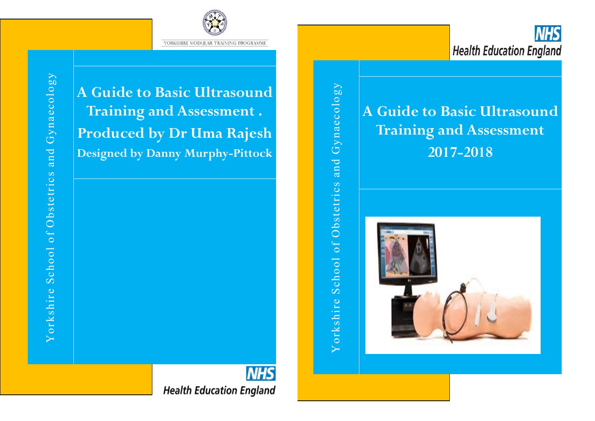

**A Guide to Basic Ultrasound Training and Assessment . Produced by Dr Uma Rajesh Designed by Danny Murphy-Pittock**

Yorkshire School of Obstetrics and Gynaecology Yorkshire School of Obstetrics and Gynaecology

**A Guide to Basic Ultrasound Training and Assessment 2017-2018**



**NHS Health Education England**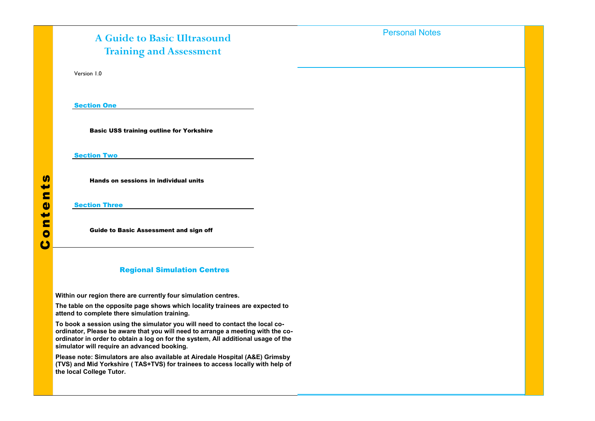# Contents

# **A Guide to Basic Ultrasound Training and Assessment**

Version 1.0

Section One

Basic USS training outline for Yorkshire

Section Two **Section** 

Hands on sessions in individual units

Section Three

Guide to Basic Assessment and sign off

### Regional Simulation Centres

I have evidenced my 5 hours of Simulation Training on Simulation Training on Simulation Training on Simulation<br>Training on Simulation Training on Simulation Training on Simulation Training on Simulation Training on Simula

**Within our region there are currently four simulation centres.**

**The table on the opposite page shows which locality trainees are expected to attend to complete there simulation training.**

attend to complete there simulation training.<br>To book a session using the simulator you will need to contact the local co-To book a session using the simulator you will need to contact the local co-<br>ordinator, Please be aware that you will need to arrange a meeting with the coordinator in order to obtain a log on for the system, All additional usage of the **simulator will require an advanced booking.**

simulator will require an advanced booking.<br>Please note: Simulators are also available at Airedale Hospital (A&E) Grimsby **(TVS) and Mid Yorkshire (TAS+TVS) for trainees to access locally with help of the local College Tutor.**

Personal Notes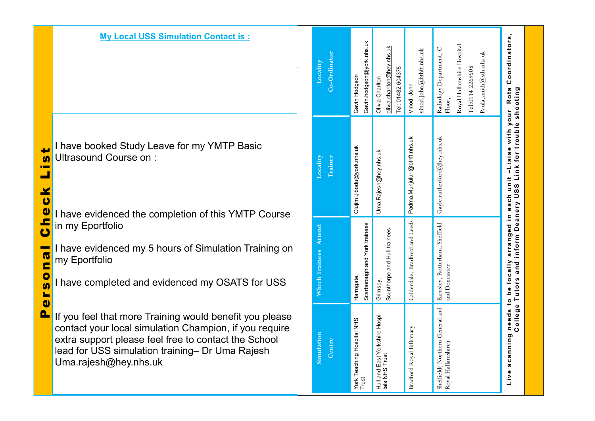I have booked Study Leave for my YMTP Basic Ultrasound Course on :

**My Local USS Simulation Contact is :**

I have evidenced the completion of this YMTP Course in my Eportfolio

I have evidenced my 5 hours of Simulation Training on my Eportfolio

I have completed and evidenced my OSATS for USS

If you feel that more Training would benefit you please contact your local simulation Champion, if you require extra support please feel free to contact the School lead for USS simulation training – Dr Uma Rajesh Uma.rajesh@hey.nhs.uk

| Co-Ordinator<br><b>Locality</b> | Gavin hodgson@york nhs.uk<br>Gavin Hodgson  | olivia.chariton@hey.nhs.uk<br>Tel: 01482 604378<br>Olivia Chariton | vinod.john@bthft.nhs.uk<br>Vinod John | Royal Hallamshire Hospital<br>Radiology Department, C<br>Paula.smith@sth.nhs.uk<br>Tel:0114 2269508<br>Floor, |                                                                                                                                                                 |
|---------------------------------|---------------------------------------------|--------------------------------------------------------------------|---------------------------------------|---------------------------------------------------------------------------------------------------------------|-----------------------------------------------------------------------------------------------------------------------------------------------------------------|
| Locality<br>Trainer             | Olujimi jibodu@york.nhs.uk                  | Uma Rajesh@hey nhs uk                                              | Padma Munjuluri@bthft.nhs.uk          | Gayle.rutherford@hey.nhs.uk                                                                                   | Live scanning needs to be locally arranged in each unit -Liaise with your Rota Coordinators,<br>College Tutors and inform Deanery USS Link for trouble shooting |
| <b>Which Traines Attend</b>     | Scarborough and York trainees<br>Harrogate, | Scunthorpe and Hull trainees<br>Grimsby,                           | Calderdale, Bradford and Leeds        | and Doncaster                                                                                                 |                                                                                                                                                                 |
| Simulation<br>Centre            | York Teaching Hospital NHS<br>Trust         | Hull and East Yorkshire Hospi-<br>tals NHS Trust                   | Bradford Royal Infirmary              | Sheffield (Northern General and Barnsley, Rotterham, Sheffield<br>Royal Hallamshire)                          |                                                                                                                                                                 |

Personal Check List  $\blacksquare$  $\mathbf{u}$ **THE**  $\mathbf{r}$  $\blacktriangleright$  $\bullet$  $\bullet$  $\mathbf{r}$  $\mathbf{c}$  $\blacksquare$ n a  $\bullet$  $\mathbf{u}$  $\blacktriangleright$  $\bullet$  $\mathbf{\Omega}$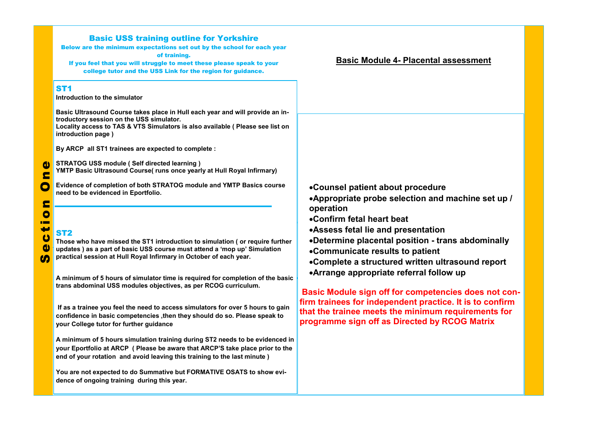| ST1<br>Introduction to the simulator<br>Basic Ultrasound Course takes place in Hull each year and will provide an in-<br>troductory session on the USS simulator.<br>Locality access to TAS & VTS Simulators is also available ( Please see list on<br>introduction page)<br>By ARCP all ST1 trainees are expected to complete :<br><b>STRATOG USS module (Self directed learning)</b><br>$\bullet$<br>YMTP Basic Ultrasound Course( runs once yearly at Hull Royal Infirmary)<br>E<br>C<br>Evidence of completion of both STRATOG module and YMTP Basics course<br>•Counsel patient about procedure<br>need to be evidenced in Eportfolio.<br>•Appropriate probe selection and machine set up /<br>E<br>operation<br>$\bullet$<br>•Confirm fetal heart beat<br>₩<br>•Assess fetal lie and presentation<br><b>ST2</b><br>$\boldsymbol{\omega}$<br>•Determine placental position - trans abdominally<br>Those who have missed the ST1 introduction to simulation ( or require further<br>$\bullet$<br>updates) as a part of basic USS course must attend a 'mop up' Simulation<br>•Communicate results to patient<br>practical session at Hull Royal Infirmary in October of each year.<br>(N<br>•Complete a structured written ultrasound report<br>•Arrange appropriate referral follow up<br>A minimum of 5 hours of simulator time is required for completion of the basic<br>trans abdominal USS modules objectives, as per RCOG curriculum.<br>If as a trainee you feel the need to access simulators for over 5 hours to gain<br>that the trainee meets the minimum requirements for<br>confidence in basic competencies , then they should do so. Please speak to<br>programme sign off as Directed by RCOG Matrix<br>your College tutor for further guidance<br>A minimum of 5 hours simulation training during ST2 needs to be evidenced in<br>your Eportfolio at ARCP (Please be aware that ARCP'S take place prior to the<br>end of your rotation and avoid leaving this training to the last minute)<br>You are not expected to do Summative but FORMATIVE OSATS to show evi-<br>dence of ongoing training during this year. | <b>Basic USS training outline for Yorkshire</b><br>Below are the minimum expectations set out by the school for each year<br>of training.<br>If you feel that you will struggle to meet these please speak to your<br>college tutor and the USS Link for the region for guidance. | <b>Basic Module 4- Placental assessment</b>                                                                      |
|------------------------------------------------------------------------------------------------------------------------------------------------------------------------------------------------------------------------------------------------------------------------------------------------------------------------------------------------------------------------------------------------------------------------------------------------------------------------------------------------------------------------------------------------------------------------------------------------------------------------------------------------------------------------------------------------------------------------------------------------------------------------------------------------------------------------------------------------------------------------------------------------------------------------------------------------------------------------------------------------------------------------------------------------------------------------------------------------------------------------------------------------------------------------------------------------------------------------------------------------------------------------------------------------------------------------------------------------------------------------------------------------------------------------------------------------------------------------------------------------------------------------------------------------------------------------------------------------------------------------------------------------------------------------------------------------------------------------------------------------------------------------------------------------------------------------------------------------------------------------------------------------------------------------------------------------------------------------------------------------------------------------------------------------------------------------------------------------------------------------------------------|-----------------------------------------------------------------------------------------------------------------------------------------------------------------------------------------------------------------------------------------------------------------------------------|------------------------------------------------------------------------------------------------------------------|
|                                                                                                                                                                                                                                                                                                                                                                                                                                                                                                                                                                                                                                                                                                                                                                                                                                                                                                                                                                                                                                                                                                                                                                                                                                                                                                                                                                                                                                                                                                                                                                                                                                                                                                                                                                                                                                                                                                                                                                                                                                                                                                                                          |                                                                                                                                                                                                                                                                                   |                                                                                                                  |
|                                                                                                                                                                                                                                                                                                                                                                                                                                                                                                                                                                                                                                                                                                                                                                                                                                                                                                                                                                                                                                                                                                                                                                                                                                                                                                                                                                                                                                                                                                                                                                                                                                                                                                                                                                                                                                                                                                                                                                                                                                                                                                                                          |                                                                                                                                                                                                                                                                                   |                                                                                                                  |
|                                                                                                                                                                                                                                                                                                                                                                                                                                                                                                                                                                                                                                                                                                                                                                                                                                                                                                                                                                                                                                                                                                                                                                                                                                                                                                                                                                                                                                                                                                                                                                                                                                                                                                                                                                                                                                                                                                                                                                                                                                                                                                                                          |                                                                                                                                                                                                                                                                                   |                                                                                                                  |
|                                                                                                                                                                                                                                                                                                                                                                                                                                                                                                                                                                                                                                                                                                                                                                                                                                                                                                                                                                                                                                                                                                                                                                                                                                                                                                                                                                                                                                                                                                                                                                                                                                                                                                                                                                                                                                                                                                                                                                                                                                                                                                                                          |                                                                                                                                                                                                                                                                                   |                                                                                                                  |
|                                                                                                                                                                                                                                                                                                                                                                                                                                                                                                                                                                                                                                                                                                                                                                                                                                                                                                                                                                                                                                                                                                                                                                                                                                                                                                                                                                                                                                                                                                                                                                                                                                                                                                                                                                                                                                                                                                                                                                                                                                                                                                                                          |                                                                                                                                                                                                                                                                                   | Basic Module sign off for competencies does not con-<br>firm trainees for independent practice. It is to confirm |
|                                                                                                                                                                                                                                                                                                                                                                                                                                                                                                                                                                                                                                                                                                                                                                                                                                                                                                                                                                                                                                                                                                                                                                                                                                                                                                                                                                                                                                                                                                                                                                                                                                                                                                                                                                                                                                                                                                                                                                                                                                                                                                                                          |                                                                                                                                                                                                                                                                                   |                                                                                                                  |
|                                                                                                                                                                                                                                                                                                                                                                                                                                                                                                                                                                                                                                                                                                                                                                                                                                                                                                                                                                                                                                                                                                                                                                                                                                                                                                                                                                                                                                                                                                                                                                                                                                                                                                                                                                                                                                                                                                                                                                                                                                                                                                                                          |                                                                                                                                                                                                                                                                                   |                                                                                                                  |
|                                                                                                                                                                                                                                                                                                                                                                                                                                                                                                                                                                                                                                                                                                                                                                                                                                                                                                                                                                                                                                                                                                                                                                                                                                                                                                                                                                                                                                                                                                                                                                                                                                                                                                                                                                                                                                                                                                                                                                                                                                                                                                                                          |                                                                                                                                                                                                                                                                                   |                                                                                                                  |
|                                                                                                                                                                                                                                                                                                                                                                                                                                                                                                                                                                                                                                                                                                                                                                                                                                                                                                                                                                                                                                                                                                                                                                                                                                                                                                                                                                                                                                                                                                                                                                                                                                                                                                                                                                                                                                                                                                                                                                                                                                                                                                                                          |                                                                                                                                                                                                                                                                                   |                                                                                                                  |
|                                                                                                                                                                                                                                                                                                                                                                                                                                                                                                                                                                                                                                                                                                                                                                                                                                                                                                                                                                                                                                                                                                                                                                                                                                                                                                                                                                                                                                                                                                                                                                                                                                                                                                                                                                                                                                                                                                                                                                                                                                                                                                                                          |                                                                                                                                                                                                                                                                                   |                                                                                                                  |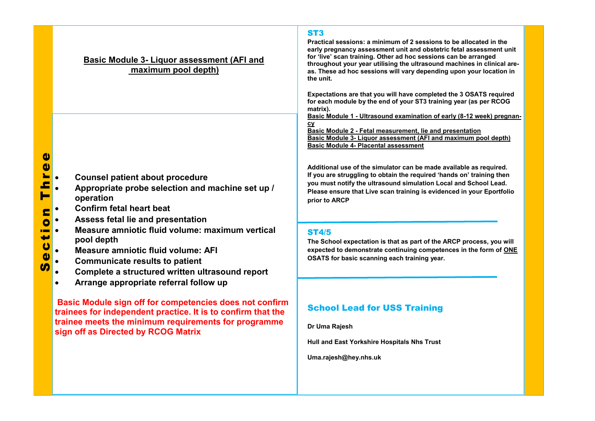### **Basic Module 3- Liquor assessment (AFI and maximum pool depth)**

- **Appropriate probe selection and machine set up / operation**
- **Confirm fetal heart beat**
- **Assess fetal lie and presentation**
- **E**<br>
Counsel patient about procedure<br>
Appropriate probe selection and<br>
operation<br>
Confirm fetal heart beat<br>
Assess fetal lie and presentation<br>
Measure amniotic fluid volume: A<br>
Communicate results to patient<br>
Communicate r **Measure amniotic fluid volume: maximum vertical pool depth**
	- **Measure amniotic fluid volume: AFI**
	- **Communicate results to patient**
	- **Complete a structured written ultrasound report**
	- **Arrange appropriate referral follow up**

**Basic Module sign off for competencies does not confirm trainees for independent practice. It is to confirm that the trainee meets the minimum requirements for programme sign off as Directed by RCOG Matrix**

### ST3

for live scan training. Other ad noc sessions can be arranged<br>throughout your year utilising the ultrasound machines in clinical are-**Practical sessions: a minimum of 2 sessions to be allocated in the early pregnancy assessment unit and obstetric fetal assessment unit for 'live' scan training. Other ad hoc sessions can be arranged as. These ad hoc sessions will vary depending upon your location in the unit.**

**Expectations are that you will have completed the 3 OSATS required for each module by the end of your ST3 training year (as per RCOG matrix).** 

**Basic Module 1 - Ultrasound examination of early (8-12 week) pregnancy**

**Basic Module 2 - Fetal measurement, lie and presentation Basic Module 3- Liquor assessment (AFI and maximum pool depth) Basic Module 4- Placental assessment**

**Additional use of the simulator can be made available as required. If you are struggling to obtain the required 'hands on' training then you must notify the ultrasound simulation Local and School Lead. Please ensure that Live scan training is evidenced in your Eportfolio prior to ARCP**

### ST4/5

**The School expectation is that as part of the ARCP process, you will expected to demonstrate continuing competences in the form of ONE OSATS for basic scanning each training year.** 

## School Lead for USS Training

**Dr Uma Rajesh**

**Hull and East Yorkshire Hospitals Nhs Trust** 

**Uma.rajesh@hey.nhs.uk**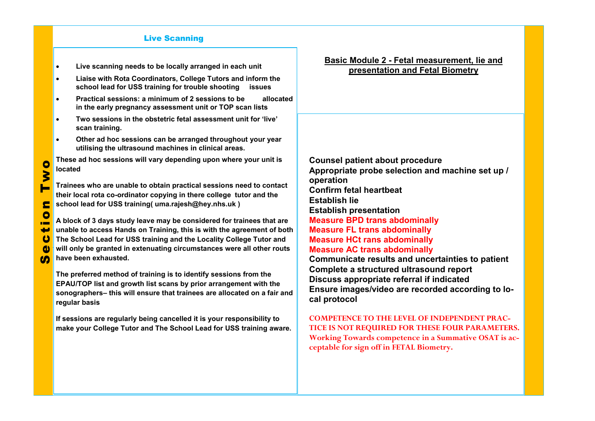### Live Scanning

- **Live scanning needs to be locally arranged in each unit**
- **Liaise with Rota Coordinators, College Tutors and inform the school lead for USS training for trouble shooting issues**
- **Practical sessions: a minimum of 2 sessions to be allocated in the early pregnancy assessment unit or TOP scan lists**
- **Two sessions in the obstetric fetal assessment unit for 'live' scan training.**
- **Other ad hoc sessions can be arranged throughout your year utilising the ultrasound machines in clinical areas.**

These ad hoc sessions will vary depending upon where your unit is **located** 

**Trainees who are unable to obtain practical sessions need to contact their local rota co-ordinator copying in there college tutor and the**  $\frac{1}{2}$ are incarrota co-ordinator copying in there concge rator and the school lead for USS training( uma.rajesh@hey.nhs.uk ) **Identify bladder and right/left orientation location**

A block of 3 days study leave may be considered for trainees that are **unable to access Hands on Training, this is with the agreement of both Measure crown-rump length The School Lead for USS training and the Locality College Tutor and** will only be granted in extenuating circumstances were all other routs **beginning have been exhausted. ical setting**

The preferred method of training is to identify sessions from the **EPAU/TOP list and growth list scans by prior arrangement with the** sonographers- this will ensure that trainees are allocated on a fair and **regular basis** 

If sessions are regularly being cancelled it is your responsibility to **make your College Tutor and The School Lead for USS training aware.** that your concycle and and the centrol Ecad for **coo** training award.

**Basic Module 2 - Fetal measurement, lie and presentation and Fetal Biometry**

**Counsel patient about procedure Appropriate probe selection and machine set up / operation Confirm fetal heartbeat Establish lie Establish presentation Measure BPD trans abdominally Measure FL trans abdominally Measure HCt rans abdominally Measure AC trans abdominally** 

**Communicate results and uncertainties to patient Complete a structured ultrasound report Discuss appropriate referral if indicated Ensure images/video are recorded according to local protocol**

**COMPETENCE TO THE LEVEL OF INDEPENDENT PRAC-TICE IS NOT REQUIRED FOR THESE FOUR PARAMETERS. Working Towards competence in a Summative OSAT is acceptable for sign off in FETAL Biometry.**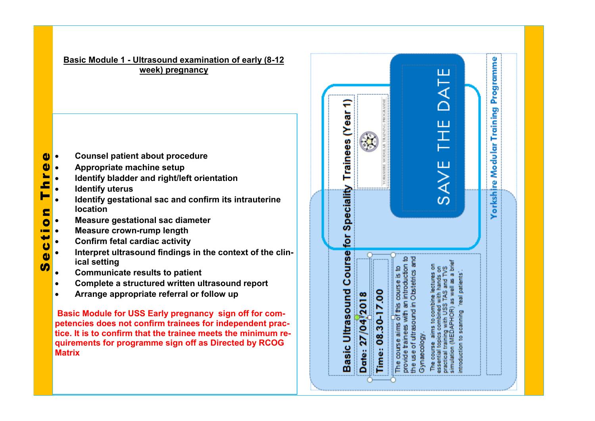**Basic Module 1 - Ultrasound examination of early (8-12 week) pregnancy**

- 
- **Appropriate machine setup**
- **Identify bladder and right/left orientation**
- **Identify uterus**
- **Identify gestational sac and confirm its intrauterine location**
- **Measure gestational sac diameter**
- **Measure crown-rump length**
- **Confirm fetal cardiac activity**
- **Example 12 Section 12 Section 12 Section 12 Section**<br> **Counsel patient about procedure**<br> **Counsilist is then the identify destational sac and confidence<br>
<b>Confidentify destational sac diamete**<br> **Confirm fetal cardiac acti •** Interpret ultrasound findings in the context of the clin**ical setting**
	- **Communicate results to patient**
	- **Complete a structured written ultrasound report**
	- **Arrange appropriate referral or follow up**

**Basic Module for USS Early pregnancy sign off for competencies does not confirm trainees for independent practice. It is to confirm that the trainee meets the minimum requirements for programme sign off as Directed by RCOG Matrix**